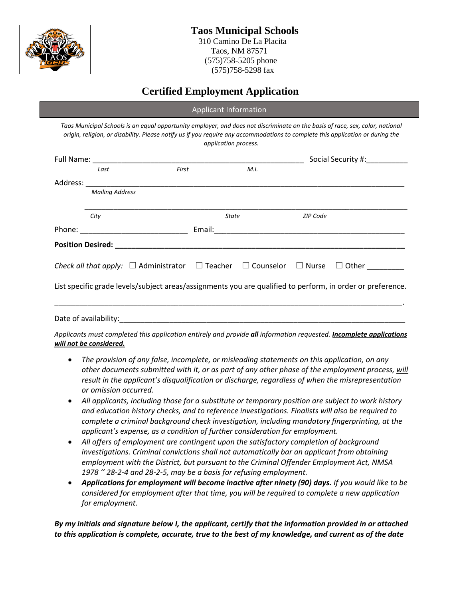

 (575)758-5205 phone (575)758-5298 fax

# **Certified Employment Application**

|                        |       | Applicant Information |      |                 |                                                                                                                                                                                                                                                                 |
|------------------------|-------|-----------------------|------|-----------------|-----------------------------------------------------------------------------------------------------------------------------------------------------------------------------------------------------------------------------------------------------------------|
|                        |       | application process.  |      |                 | Taos Municipal Schools is an equal opportunity employer, and does not discriminate on the basis of race, sex, color, national<br>origin, religion, or disability. Please notify us if you require any accommodations to complete this application or during the |
|                        |       |                       |      |                 | Social Security #:                                                                                                                                                                                                                                              |
| Last                   | First |                       | M.I. |                 |                                                                                                                                                                                                                                                                 |
|                        |       |                       |      |                 |                                                                                                                                                                                                                                                                 |
| <b>Mailing Address</b> |       |                       |      |                 |                                                                                                                                                                                                                                                                 |
| City                   |       | <b>State</b>          |      | <b>ZIP Code</b> |                                                                                                                                                                                                                                                                 |
|                        |       |                       |      |                 |                                                                                                                                                                                                                                                                 |
|                        |       |                       |      |                 |                                                                                                                                                                                                                                                                 |
|                        |       |                       |      |                 | <i>Check all that apply:</i> $\Box$ Administrator $\Box$ Teacher $\Box$ Counselor $\Box$ Nurse $\Box$ Other                                                                                                                                                     |
|                        |       |                       |      |                 | List specific grade levels/subject areas/assignments you are qualified to perform, in order or preference.                                                                                                                                                      |
|                        |       |                       |      |                 | <u> 1989 - Johann Stoff, deutscher Stoff, der Stoff, der Stoff, der Stoff, der Stoff, der Stoff, der Stoff, der S</u>                                                                                                                                           |
|                        |       |                       |      |                 | Applicants must completed this application entirely and provide all information requested. Incomplete applications                                                                                                                                              |

*will not be considered.* 

- *The provision of any false, incomplete, or misleading statements on this application, on any other documents submitted with it, or as part of any other phase of the employment process, will result in the applicant's disqualification or discharge, regardless of when the misrepresentation or omission occurred.*
- *All applicants, including those for a substitute or temporary position are subject to work history and education history checks, and to reference investigations. Finalists will also be required to complete a criminal background check investigation, including mandatory fingerprinting, at the applicant's expense, as a condition of further consideration for employment.*
- *All offers of employment are contingent upon the satisfactory completion of background investigations. Criminal convictions shall not automatically bar an applicant from obtaining employment with the District, but pursuant to the Criminal Offender Employment Act, NMSA 1978 '' 28-2-4 and 28-2-5, may be a basis for refusing employment.*
- *Applications for employment will become inactive after ninety (90) days. If you would like to be considered for employment after that time, you will be required to complete a new application for employment.*

*By my initials and signature below I, the applicant, certify that the information provided in or attached to this application is complete, accurate, true to the best of my knowledge, and current as of the date*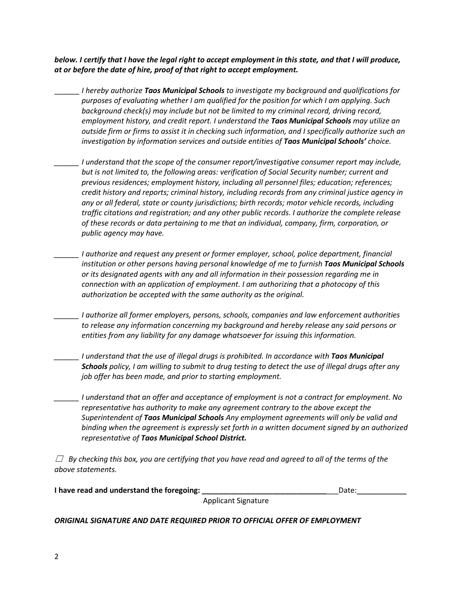*below. I certify that I have the legal right to accept employment in this state, and that I will produce, at or before the date of hire, proof of that right to accept employment.*

- \_\_\_\_\_\_ *I hereby authorize Taos Municipal Schools to investigate my background and qualifications for purposes of evaluating whether I am qualified for the position for which I am applying. Such background check(s) may include but not be limited to my criminal record, driving record, employment history, and credit report. I understand the Taos Municipal Schools may utilize an outside firm or firms to assist it in checking such information, and I specifically authorize such an investigation by information services and outside entities of Taos Municipal Schools' choice.*
- *\_\_\_\_\_\_ I understand that the scope of the consumer report/investigative consumer report may include, but is not limited to, the following areas: verification of Social Security number; current and previous residences; employment history, including all personnel files; education; references; credit history and reports; criminal history, including records from any criminal justice agency in any or all federal, state or county jurisdictions; birth records; motor vehicle records, including traffic citations and registration; and any other public records. I authorize the complete release of these records or data pertaining to me that an individual, company, firm, corporation, or public agency may have.*
- *\_\_\_\_\_\_ I authorize and request any present or former employer, school, police department, financial institution or other persons having personal knowledge of me to furnish Taos Municipal Schools or its designated agents with any and all information in their possession regarding me in connection with an application of employment. I am authorizing that a photocopy of this authorization be accepted with the same authority as the original.*
- *\_\_\_\_\_\_ I authorize all former employers, persons, schools, companies and law enforcement authorities to release any information concerning my background and hereby release any said persons or entities from any liability for any damage whatsoever for issuing this information.*
- *\_\_\_\_\_\_ I understand that the use of illegal drugs is prohibited. In accordance with Taos Municipal Schools policy, I am willing to submit to drug testing to detect the use of illegal drugs after any job offer has been made, and prior to starting employment.*

*\_\_\_\_\_\_ I understand that an offer and acceptance of employment is not a contract for employment. No representative has authority to make any agreement contrary to the above except the Superintendent of Taos Municipal Schools Any employment agreements will only be valid and binding when the agreement is expressly set forth in a written document signed by an authorized representative of Taos Municipal School District.*

☐ *By checking this box, you are certifying that you have read and agreed to all of the terms of the above statements.*

| I have read and understand the foregoing: |                            | Date: |
|-------------------------------------------|----------------------------|-------|
|                                           | <b>Applicant Signature</b> |       |

*ORIGINAL SIGNATURE AND DATE REQUIRED PRIOR TO OFFICIAL OFFER OF EMPLOYMENT*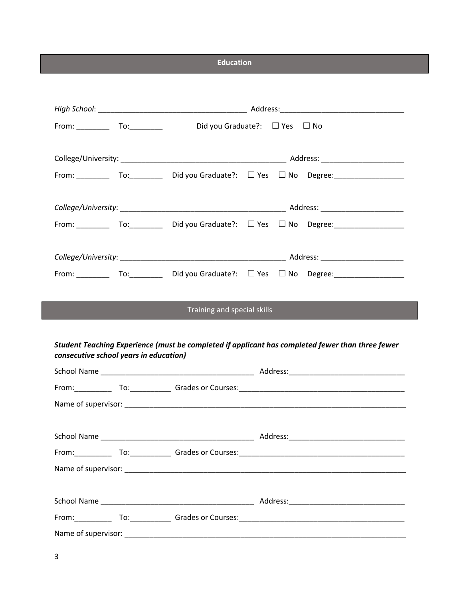**Education**

|             |                                        | Did you Graduate?: □ Yes □ No |            |                                                                                                                                                                             |
|-------------|----------------------------------------|-------------------------------|------------|-----------------------------------------------------------------------------------------------------------------------------------------------------------------------------|
|             |                                        |                               |            |                                                                                                                                                                             |
|             |                                        |                               |            | From: __________ To: __________ Did you Graduate?: □ Yes □ No Degree: _________________                                                                                     |
|             |                                        |                               |            |                                                                                                                                                                             |
|             |                                        |                               |            | From: $\begin{bmatrix} 1 & 0 & 0 \\ 0 & 1 & 0 \\ 0 & 0 & 0 \end{bmatrix}$ Did you Graduate?: $\begin{bmatrix} 1 & 0 & 0 \\ 0 & 1 & 0 \\ 0 & 0 & 0 \end{bmatrix}$ No Degree: |
|             |                                        |                               |            |                                                                                                                                                                             |
|             |                                        |                               |            | From: _________ To: _________ Did you Graduate?: □ Yes □ No Degree: ____________                                                                                            |
|             |                                        | Training and special skills   |            |                                                                                                                                                                             |
|             | consecutive school years in education) |                               |            | Student Teaching Experience (must be completed if applicant has completed fewer than three fewer                                                                            |
|             |                                        |                               |            |                                                                                                                                                                             |
|             |                                        |                               |            |                                                                                                                                                                             |
|             |                                        |                               |            |                                                                                                                                                                             |
| School Name |                                        |                               | Address:__ |                                                                                                                                                                             |
|             |                                        |                               |            |                                                                                                                                                                             |
|             |                                        |                               |            |                                                                                                                                                                             |
|             |                                        |                               |            |                                                                                                                                                                             |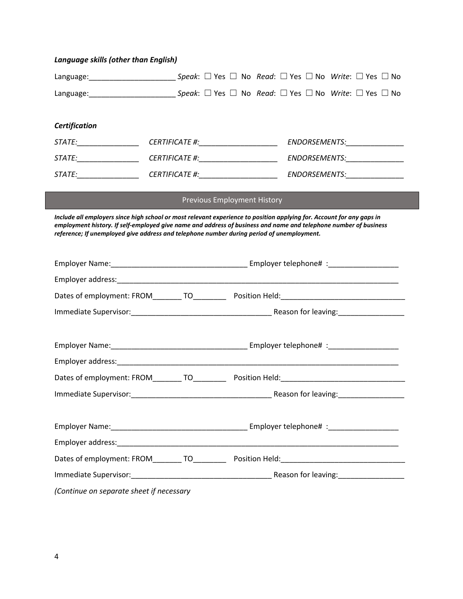|  |  | Language skills (other than English) |  |
|--|--|--------------------------------------|--|
|--|--|--------------------------------------|--|

| Certification                                                                                                                                                                                                                                                                                                                          |                 |                                    |  |                               |
|----------------------------------------------------------------------------------------------------------------------------------------------------------------------------------------------------------------------------------------------------------------------------------------------------------------------------------------|-----------------|------------------------------------|--|-------------------------------|
| STATE:________________                                                                                                                                                                                                                                                                                                                 | CERTIFICATE  #: |                                    |  | ENDORSEMENTS:______________   |
|                                                                                                                                                                                                                                                                                                                                        |                 |                                    |  | ENDORSEMENTS:________________ |
|                                                                                                                                                                                                                                                                                                                                        |                 |                                    |  |                               |
|                                                                                                                                                                                                                                                                                                                                        |                 | <b>Previous Employment History</b> |  |                               |
| Include all employers since high school or most relevant experience to position applying for. Account for any gaps in<br>employment history. If self-employed give name and address of business and name and telephone number of business<br>reference; If unemployed give address and telephone number during period of unemployment. |                 |                                    |  |                               |
|                                                                                                                                                                                                                                                                                                                                        |                 |                                    |  |                               |
|                                                                                                                                                                                                                                                                                                                                        |                 |                                    |  |                               |
|                                                                                                                                                                                                                                                                                                                                        |                 |                                    |  |                               |
|                                                                                                                                                                                                                                                                                                                                        |                 |                                    |  |                               |
|                                                                                                                                                                                                                                                                                                                                        |                 |                                    |  |                               |
|                                                                                                                                                                                                                                                                                                                                        |                 |                                    |  |                               |
|                                                                                                                                                                                                                                                                                                                                        |                 |                                    |  |                               |
|                                                                                                                                                                                                                                                                                                                                        |                 |                                    |  |                               |
|                                                                                                                                                                                                                                                                                                                                        |                 |                                    |  |                               |
|                                                                                                                                                                                                                                                                                                                                        |                 |                                    |  |                               |
|                                                                                                                                                                                                                                                                                                                                        |                 |                                    |  |                               |
| Dates of employment: FROM_________ TO______________ Position Held:__________________________________                                                                                                                                                                                                                                   |                 |                                    |  |                               |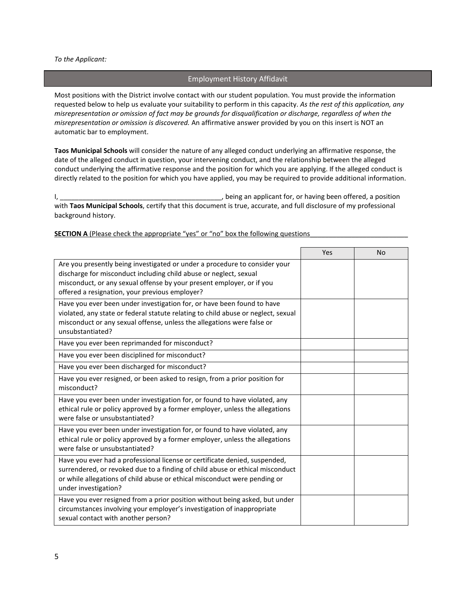#### *To the Applicant:*

## Employment History Affidavit

Most positions with the District involve contact with our student population. You must provide the information requested below to help us evaluate your suitability to perform in this capacity. *As the rest of this application, any misrepresentation or omission of fact may be grounds for disqualification or discharge, regardless of when the misrepresentation or omission is discovered.* An affirmative answer provided by you on this insert is NOT an automatic bar to employment.

**Taos Municipal Schools** will consider the nature of any alleged conduct underlying an affirmative response, the date of the alleged conduct in question, your intervening conduct, and the relationship between the alleged conduct underlying the affirmative response and the position for which you are applying. If the alleged conduct is directly related to the position for which you have applied, you may be required to provide additional information.

I, \_\_\_\_\_\_\_\_\_\_\_\_\_\_\_\_\_\_\_\_\_\_\_\_\_\_\_\_\_\_\_\_\_\_\_\_\_\_\_\_\_\_\_, being an applicant for, or having been offered, a position with **Taos Municipal Schools**, certify that this document is true, accurate, and full disclosure of my professional background history.

|                                                                                                                                                                                                                                                                            | Yes | <b>No</b> |
|----------------------------------------------------------------------------------------------------------------------------------------------------------------------------------------------------------------------------------------------------------------------------|-----|-----------|
| Are you presently being investigated or under a procedure to consider your<br>discharge for misconduct including child abuse or neglect, sexual<br>misconduct, or any sexual offense by your present employer, or if you<br>offered a resignation, your previous employer? |     |           |
| Have you ever been under investigation for, or have been found to have<br>violated, any state or federal statute relating to child abuse or neglect, sexual<br>misconduct or any sexual offense, unless the allegations were false or<br>unsubstantiated?                  |     |           |
| Have you ever been reprimanded for misconduct?                                                                                                                                                                                                                             |     |           |
| Have you ever been disciplined for misconduct?                                                                                                                                                                                                                             |     |           |
| Have you ever been discharged for misconduct?                                                                                                                                                                                                                              |     |           |
| Have you ever resigned, or been asked to resign, from a prior position for<br>misconduct?                                                                                                                                                                                  |     |           |
| Have you ever been under investigation for, or found to have violated, any<br>ethical rule or policy approved by a former employer, unless the allegations<br>were false or unsubstantiated?                                                                               |     |           |
| Have you ever been under investigation for, or found to have violated, any<br>ethical rule or policy approved by a former employer, unless the allegations<br>were false or unsubstantiated?                                                                               |     |           |
| Have you ever had a professional license or certificate denied, suspended,<br>surrendered, or revoked due to a finding of child abuse or ethical misconduct<br>or while allegations of child abuse or ethical misconduct were pending or<br>under investigation?           |     |           |
| Have you ever resigned from a prior position without being asked, but under<br>circumstances involving your employer's investigation of inappropriate<br>sexual contact with another person?                                                                               |     |           |

#### **SECTION A** (Please check the appropriate "yes" or "no" box the following questions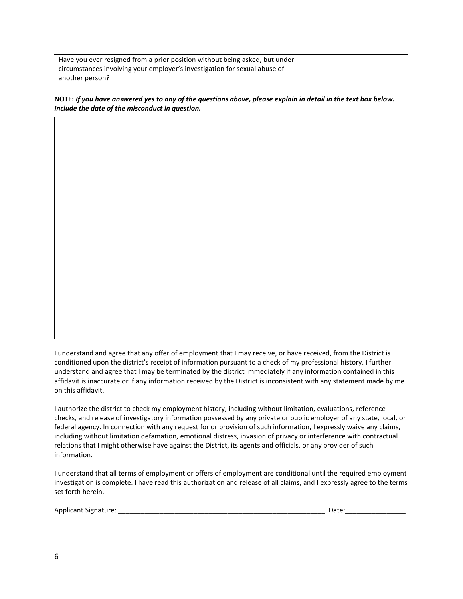| Have you ever resigned from a prior position without being asked, but under |  |
|-----------------------------------------------------------------------------|--|
| circumstances involving your employer's investigation for sexual abuse of   |  |
| another person?                                                             |  |

**NOTE:** *If you have answered yes to any of the questions above, please explain in detail in the text box below. Include the date of the misconduct in question.*

I understand and agree that any offer of employment that I may receive, or have received, from the District is conditioned upon the district's receipt of information pursuant to a check of my professional history. I further understand and agree that I may be terminated by the district immediately if any information contained in this affidavit is inaccurate or if any information received by the District is inconsistent with any statement made by me on this affidavit.

I authorize the district to check my employment history, including without limitation, evaluations, reference checks, and release of investigatory information possessed by any private or public employer of any state, local, or federal agency. In connection with any request for or provision of such information, I expressly waive any claims, including without limitation defamation, emotional distress, invasion of privacy or interference with contractual relations that I might otherwise have against the District, its agents and officials, or any provider of such information.

I understand that all terms of employment or offers of employment are conditional until the required employment investigation is complete. I have read this authorization and release of all claims, and I expressly agree to the terms set forth herein.

|  | Applicant Signature: |  |
|--|----------------------|--|
|--|----------------------|--|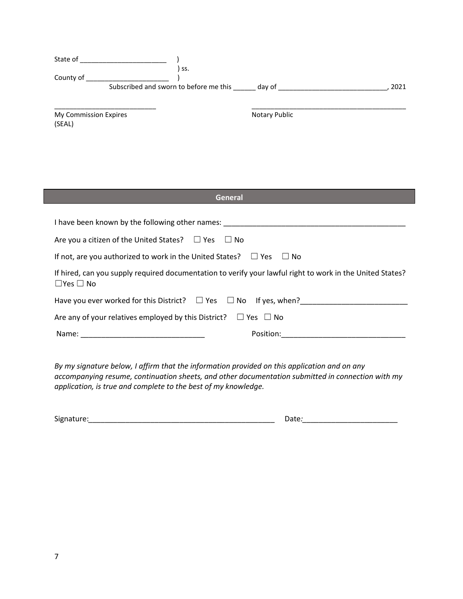| State of                        | SS.                                    |               |      |
|---------------------------------|----------------------------------------|---------------|------|
| County of                       | Subscribed and sworn to before me this | day of        | 2021 |
| My Commission Expires<br>(SEAL) |                                        | Notary Public |      |

| <b>General</b>                                                                                                                    |
|-----------------------------------------------------------------------------------------------------------------------------------|
| I have been known by the following other names: Network and the state of the state of the state of the state o                    |
| Are you a citizen of the United States? $\Box$ Yes $\Box$ No                                                                      |
| If not, are you authorized to work in the United States? $\Box$ Yes $\Box$ No                                                     |
| If hired, can you supply required documentation to verify your lawful right to work in the United States?<br>$\Box$ Yes $\Box$ No |
| Have you ever worked for this District? $\square$ Yes $\square$ No If yes, when?                                                  |
| Are any of your relatives employed by this District? $\square$ Yes $\square$ No                                                   |
| Position:<br>Name:<br><u> 1980 - Jan Barbara, manazarta da </u>                                                                   |

*By my signature below, I affirm that the information provided on this application and on any accompanying resume, continuation sheets, and other documentation submitted in connection with my application, is true and complete to the best of my knowledge.*

| Signature: | -<br>Date: |
|------------|------------|
|            |            |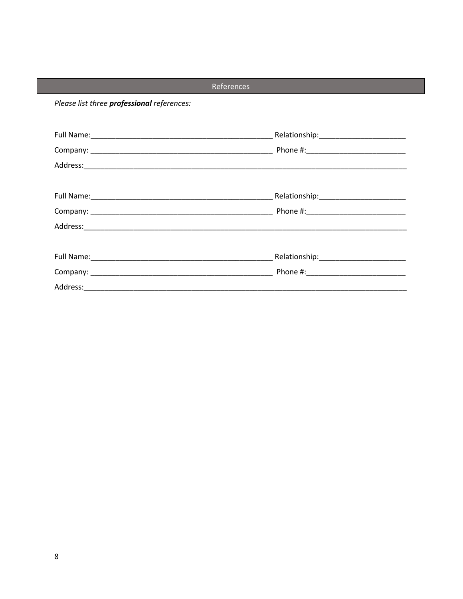## References

Please list three professional references: